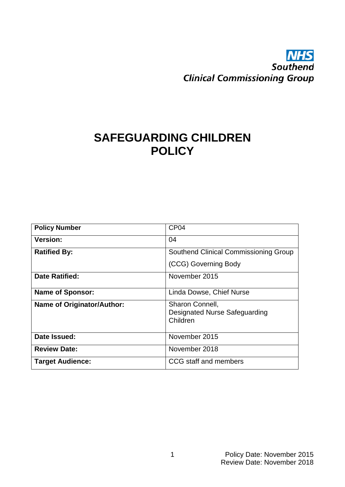# **NHS**<br>Southend **Clinical Commissioning Group**

## **SAFEGUARDING CHILDREN POLICY**

| <b>Policy Number</b>              | CP <sub>04</sub>                                                    |
|-----------------------------------|---------------------------------------------------------------------|
| <b>Version:</b>                   | 04                                                                  |
| <b>Ratified By:</b>               | Southend Clinical Commissioning Group                               |
|                                   | (CCG) Governing Body                                                |
| <b>Date Ratified:</b>             | November 2015                                                       |
| <b>Name of Sponsor:</b>           | Linda Dowse, Chief Nurse                                            |
| <b>Name of Originator/Author:</b> | Sharon Connell,<br><b>Designated Nurse Safeguarding</b><br>Children |
| Date Issued:                      | November 2015                                                       |
| <b>Review Date:</b>               | November 2018                                                       |
| <b>Target Audience:</b>           | CCG staff and members                                               |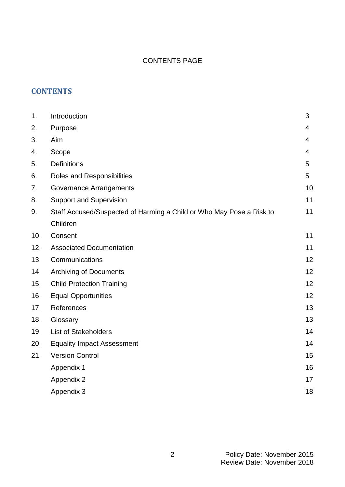## CONTENTS PAGE

## **CONTENTS**

| 1.  | Introduction                                                         | 3  |
|-----|----------------------------------------------------------------------|----|
| 2.  | Purpose                                                              | 4  |
| 3.  | Aim                                                                  | 4  |
| 4.  | Scope                                                                | 4  |
| 5.  | <b>Definitions</b>                                                   | 5  |
| 6.  | <b>Roles and Responsibilities</b>                                    | 5  |
| 7.  | <b>Governance Arrangements</b>                                       | 10 |
| 8.  | <b>Support and Supervision</b>                                       | 11 |
| 9.  | Staff Accused/Suspected of Harming a Child or Who May Pose a Risk to | 11 |
|     | Children                                                             |    |
| 10. | Consent                                                              | 11 |
| 12. | <b>Associated Documentation</b>                                      | 11 |
| 13. | Communications                                                       | 12 |
| 14. | <b>Archiving of Documents</b>                                        | 12 |
| 15. | <b>Child Protection Training</b>                                     | 12 |
| 16. | <b>Equal Opportunities</b>                                           | 12 |
| 17. | References                                                           | 13 |
| 18. | Glossary                                                             | 13 |
| 19. | <b>List of Stakeholders</b>                                          | 14 |
| 20. | <b>Equality Impact Assessment</b>                                    | 14 |
| 21. | <b>Version Control</b>                                               | 15 |
|     | Appendix 1                                                           | 16 |
|     | Appendix 2                                                           | 17 |
|     | Appendix 3                                                           | 18 |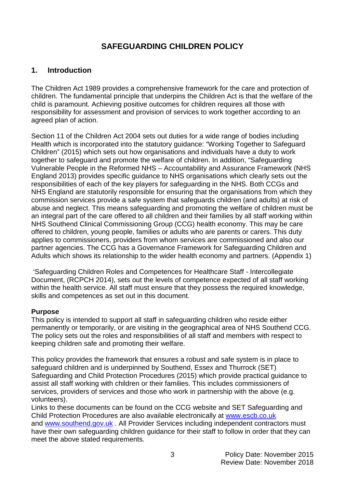## **SAFEGUARDING CHILDREN POLICY**

## **1. Introduction**

The Children Act 1989 provides a comprehensive framework for the care and protection of children. The fundamental principle that underpins the Children Act is that the welfare of the child is paramount. Achieving positive outcomes for children requires all those with responsibility for assessment and provision of services to work together according to an agreed plan of action.

Section 11 of the Children Act 2004 sets out duties for a wide range of bodies including Health which is incorporated into the statutory guidance: "Working Together to Safeguard Children" (2015) which sets out how organisations and individuals have a duty to work together to safeguard and promote the welfare of children. In addition, "Safeguarding Vulnerable People in the Reformed NHS – Accountability and Assurance Framework (NHS England 2013) provides specific guidance to NHS organisations which clearly sets out the responsibilities of each of the key players for safeguarding in the NHS. Both CCGs and NHS England are statutorily responsible for ensuring that the organisations from which they commission services provide a safe system that safeguards children (and adults) at risk of abuse and neglect. This means safeguarding and promoting the welfare of children must be an integral part of the care offered to all children and their families by all staff working within NHS Southend Clinical Commissioning Group (CCG) health economy. This may be care offered to children, young people, families or adults who are parents or carers. This duty applies to commissioners, providers from whom services are commissioned and also our partner agencies. The CCG has a Governance Framework for Safeguarding Children and Adults which shows its relationship to the wider health economy and partners. (Appendix 1)

'Safeguarding Children Roles and Competences for Healthcare Staff - Intercollegiate Document, (RCPCH 2014), sets out the levels of competence expected of all staff working within the health service. All staff must ensure that they possess the required knowledge, skills and competences as set out in this document.

#### **Purpose**

This policy is intended to support all staff in safeguarding children who reside either permanently or temporarily, or are visiting in the geographical area of NHS Southend CCG. The policy sets out the roles and responsibilities of all staff and members with respect to keeping children safe and promoting their welfare.

This policy provides the framework that ensures a robust and safe system is in place to safeguard children and is underpinned by Southend, Essex and Thurrock (SET) Safeguarding and Child Protection Procedures (2015) which provide practical guidance to assist all staff working with children or their families. This includes commissioners of services, providers of services and those who work in partnership with the above (e.g. volunteers).

Links to these documents can be found on the CCG website and SET Safeguarding and Child Protection Procedures are also available electronically at [www.escb.co.uk](http://www.escb.co.uk/) and [www.southend.gov.uk](http://www.southend.gov.uk/) . All Provider Services including independent contractors must have their own safeguarding children guidance for their staff to follow in order that they can meet the above stated requirements.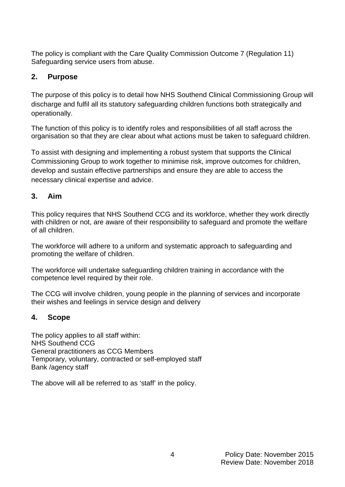The policy is compliant with the Care Quality Commission Outcome 7 (Regulation 11) Safeguarding service users from abuse.

## **2. Purpose**

The purpose of this policy is to detail how NHS Southend Clinical Commissioning Group will discharge and fulfil all its statutory safeguarding children functions both strategically and operationally.

The function of this policy is to identify roles and responsibilities of all staff across the organisation so that they are clear about what actions must be taken to safeguard children.

To assist with designing and implementing a robust system that supports the Clinical Commissioning Group to work together to minimise risk, improve outcomes for children, develop and sustain effective partnerships and ensure they are able to access the necessary clinical expertise and advice.

## **3. Aim**

This policy requires that NHS Southend CCG and its workforce, whether they work directly with children or not, are aware of their responsibility to safeguard and promote the welfare of all children.

The workforce will adhere to a uniform and systematic approach to safeguarding and promoting the welfare of children.

The workforce will undertake safeguarding children training in accordance with the competence level required by their role.

The CCG will involve children, young people in the planning of services and incorporate their wishes and feelings in service design and delivery

## **4. Scope**

The policy applies to all staff within: NHS Southend CCG General practitioners as CCG Members Temporary, voluntary, contracted or self-employed staff Bank /agency staff

The above will all be referred to as 'staff' in the policy.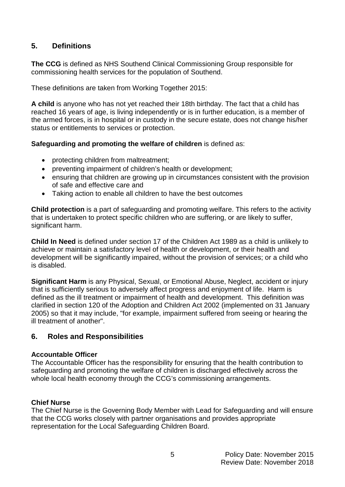## **5. Definitions**

**The CCG** is defined as NHS Southend Clinical Commissioning Group responsible for commissioning health services for the population of Southend.

These definitions are taken from Working Together 2015:

**A child** is anyone who has not yet reached their 18th birthday. The fact that a child has reached 16 years of age, is living independently or is in further education, is a member of the armed forces, is in hospital or in custody in the secure estate, does not change his/her status or entitlements to services or protection.

#### **Safeguarding and promoting the welfare of children** is defined as:

- protecting children from maltreatment;
- preventing impairment of children's health or development;
- ensuring that children are growing up in circumstances consistent with the provision of safe and effective care and
- Taking action to enable all children to have the best outcomes

**Child protection** is a part of safeguarding and promoting welfare. This refers to the activity that is undertaken to protect specific children who are suffering, or are likely to suffer, significant harm.

**Child In Need** is defined under section 17 of the Children Act 1989 as a child is unlikely to achieve or maintain a satisfactory level of health or development, or their health and development will be significantly impaired, without the provision of services; or a child who is disabled.

**Significant Harm** is any Physical, Sexual, or Emotional Abuse, Neglect, accident or injury that is sufficiently serious to adversely affect progress and enjoyment of life. Harm is defined as the ill treatment or impairment of health and development. This definition was clarified in section 120 of the Adoption and Children Act 2002 (implemented on 31 January 2005) so that it may include, "for example, impairment suffered from seeing or hearing the ill treatment of another".

#### **6. Roles and Responsibilities**

#### **Accountable Officer**

The Accountable Officer has the responsibility for ensuring that the health contribution to safeguarding and promoting the welfare of children is discharged effectively across the whole local health economy through the CCG's commissioning arrangements.

#### **Chief Nurse**

The Chief Nurse is the Governing Body Member with Lead for Safeguarding and will ensure that the CCG works closely with partner organisations and provides appropriate representation for the Local Safeguarding Children Board.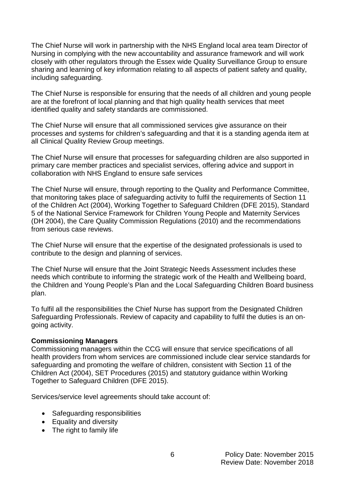The Chief Nurse will work in partnership with the NHS England local area team Director of Nursing in complying with the new accountability and assurance framework and will work closely with other regulators through the Essex wide Quality Surveillance Group to ensure sharing and learning of key information relating to all aspects of patient safety and quality, including safeguarding.

The Chief Nurse is responsible for ensuring that the needs of all children and young people are at the forefront of local planning and that high quality health services that meet identified quality and safety standards are commissioned.

The Chief Nurse will ensure that all commissioned services give assurance on their processes and systems for children's safeguarding and that it is a standing agenda item at all Clinical Quality Review Group meetings.

The Chief Nurse will ensure that processes for safeguarding children are also supported in primary care member practices and specialist services, offering advice and support in collaboration with NHS England to ensure safe services

The Chief Nurse will ensure, through reporting to the Quality and Performance Committee, that monitoring takes place of safeguarding activity to fulfil the requirements of Section 11 of the Children Act (2004), Working Together to Safeguard Children (DFE 2015), Standard 5 of the National Service Framework for Children Young People and Maternity Services (DH 2004), the Care Quality Commission Regulations (2010) and the recommendations from serious case reviews.

The Chief Nurse will ensure that the expertise of the designated professionals is used to contribute to the design and planning of services.

The Chief Nurse will ensure that the Joint Strategic Needs Assessment includes these needs which contribute to informing the strategic work of the Health and Wellbeing board, the Children and Young People's Plan and the Local Safeguarding Children Board business plan.

To fulfil all the responsibilities the Chief Nurse has support from the Designated Children Safeguarding Professionals. Review of capacity and capability to fulfil the duties is an ongoing activity.

#### **Commissioning Managers**

Commissioning managers within the CCG will ensure that service specifications of all health providers from whom services are commissioned include clear service standards for safeguarding and promoting the welfare of children, consistent with Section 11 of the Children Act (2004), SET Procedures (2015) and statutory guidance within Working Together to Safeguard Children (DFE 2015).

Services/service level agreements should take account of:

- Safeguarding responsibilities
- Equality and diversity
- The right to family life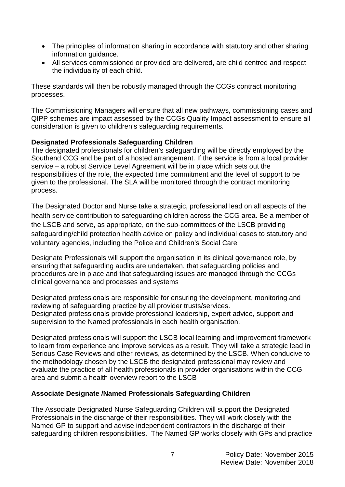- The principles of information sharing in accordance with statutory and other sharing information guidance.
- All services commissioned or provided are delivered, are child centred and respect the individuality of each child.

These standards will then be robustly managed through the CCGs contract monitoring processes.

The Commissioning Managers will ensure that all new pathways, commissioning cases and QIPP schemes are impact assessed by the CCGs Quality Impact assessment to ensure all consideration is given to children's safeguarding requirements.

#### **Designated Professionals Safeguarding Children**

The designated professionals for children's safeguarding will be directly employed by the Southend CCG and be part of a hosted arrangement. If the service is from a local provider service – a robust Service Level Agreement will be in place which sets out the responsibilities of the role, the expected time commitment and the level of support to be given to the professional. The SLA will be monitored through the contract monitoring process.

The Designated Doctor and Nurse take a strategic, professional lead on all aspects of the health service contribution to safeguarding children across the CCG area. Be a member of the LSCB and serve, as appropriate, on the sub-committees of the LSCB providing safeguarding/child protection health advice on policy and individual cases to statutory and voluntary agencies, including the Police and Children's Social Care

Designate Professionals will support the organisation in its clinical governance role, by ensuring that safeguarding audits are undertaken, that safeguarding policies and procedures are in place and that safeguarding issues are managed through the CCGs clinical governance and processes and systems

Designated professionals are responsible for ensuring the development, monitoring and reviewing of safeguarding practice by all provider trusts/services. Designated professionals provide professional leadership, expert advice, support and supervision to the Named professionals in each health organisation.

Designated professionals will support the LSCB local learning and improvement framework to learn from experience and improve services as a result. They will take a strategic lead in Serious Case Reviews and other reviews, as determined by the LSCB. When conducive to the methodology chosen by the LSCB the designated professional may review and evaluate the practice of all health professionals in provider organisations within the CCG area and submit a health overview report to the LSCB

#### **Associate Designate /Named Professionals Safeguarding Children**

The Associate Designated Nurse Safeguarding Children will support the Designated Professionals in the discharge of their responsibilities. They will work closely with the Named GP to support and advise independent contractors in the discharge of their safeguarding children responsibilities. The Named GP works closely with GPs and practice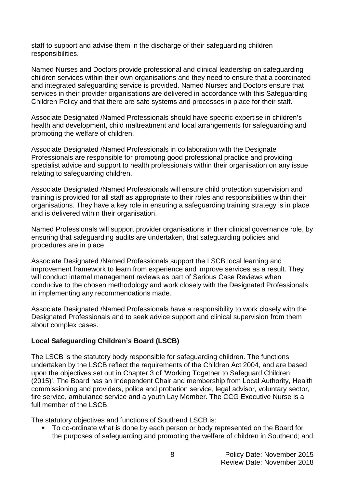staff to support and advise them in the discharge of their safeguarding children responsibilities.

Named Nurses and Doctors provide professional and clinical leadership on safeguarding children services within their own organisations and they need to ensure that a coordinated and integrated safeguarding service is provided. Named Nurses and Doctors ensure that services in their provider organisations are delivered in accordance with this Safeguarding Children Policy and that there are safe systems and processes in place for their staff.

Associate Designated /Named Professionals should have specific expertise in children's health and development, child maltreatment and local arrangements for safeguarding and promoting the welfare of children.

Associate Designated /Named Professionals in collaboration with the Designate Professionals are responsible for promoting good professional practice and providing specialist advice and support to health professionals within their organisation on any issue relating to safeguarding children.

Associate Designated /Named Professionals will ensure child protection supervision and training is provided for all staff as appropriate to their roles and responsibilities within their organisations. They have a key role in ensuring a safeguarding training strategy is in place and is delivered within their organisation.

Named Professionals will support provider organisations in their clinical governance role, by ensuring that safeguarding audits are undertaken, that safeguarding policies and procedures are in place

Associate Designated /Named Professionals support the LSCB local learning and improvement framework to learn from experience and improve services as a result. They will conduct internal management reviews as part of Serious Case Reviews when conducive to the chosen methodology and work closely with the Designated Professionals in implementing any recommendations made.

Associate Designated /Named Professionals have a responsibility to work closely with the Designated Professionals and to seek advice support and clinical supervision from them about complex cases.

#### **Local Safeguarding Children's Board (LSCB)**

The LSCB is the statutory body responsible for safeguarding children. The functions undertaken by the LSCB reflect the requirements of the Children Act 2004, and are based upon the objectives set out in Chapter 3 of 'Working Together to Safeguard Children (2015)'. The Board has an Independent Chair and membership from Local Authority, Health commissioning and providers, police and probation service, legal advisor, voluntary sector, fire service, ambulance service and a youth Lay Member. The CCG Executive Nurse is a full member of the LSCB.

The statutory objectives and functions of Southend LSCB is:

■ To co-ordinate what is done by each person or body represented on the Board for the purposes of safeguarding and promoting the welfare of children in Southend; and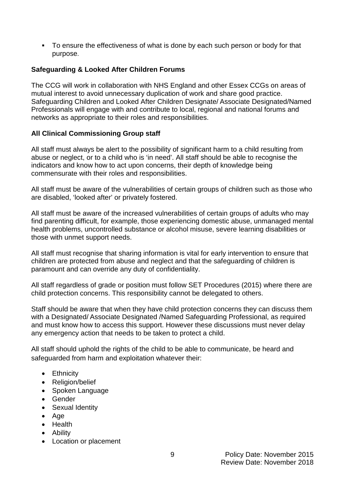To ensure the effectiveness of what is done by each such person or body for that purpose.

#### **Safeguarding & Looked After Children Forums**

The CCG will work in collaboration with NHS England and other Essex CCGs on areas of mutual interest to avoid unnecessary duplication of work and share good practice. Safeguarding Children and Looked After Children Designate/ Associate Designated/Named Professionals will engage with and contribute to local, regional and national forums and networks as appropriate to their roles and responsibilities.

#### **All Clinical Commissioning Group staff**

All staff must always be alert to the possibility of significant harm to a child resulting from abuse or neglect, or to a child who is 'in need'. All staff should be able to recognise the indicators and know how to act upon concerns, their depth of knowledge being commensurate with their roles and responsibilities.

All staff must be aware of the vulnerabilities of certain groups of children such as those who are disabled, 'looked after' or privately fostered.

All staff must be aware of the increased vulnerabilities of certain groups of adults who may find parenting difficult, for example, those experiencing domestic abuse, unmanaged mental health problems, uncontrolled substance or alcohol misuse, severe learning disabilities or those with unmet support needs.

All staff must recognise that sharing information is vital for early intervention to ensure that children are protected from abuse and neglect and that the safeguarding of children is paramount and can override any duty of confidentiality.

All staff regardless of grade or position must follow SET Procedures (2015) where there are child protection concerns. This responsibility cannot be delegated to others.

Staff should be aware that when they have child protection concerns they can discuss them with a Designated/ Associate Designated /Named Safeguarding Professional, as required and must know how to access this support. However these discussions must never delay any emergency action that needs to be taken to protect a child.

All staff should uphold the rights of the child to be able to communicate, be heard and safeguarded from harm and exploitation whatever their:

- Ethnicity
- Religion/belief
- Spoken Language
- Gender
- Sexual Identity
- Age
- Health
- Ability
- Location or placement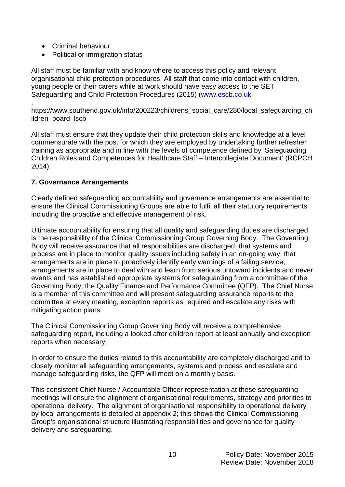- Criminal behaviour
- Political or immigration status

All staff must be familiar with and know where to access this policy and relevant organisational child protection procedures. All staff that come into contact with children, young people or their carers while at work should have easy access to the SET Safeguarding and Child Protection Procedures (2015) [\(www.escb.co.uk](http://www.escb.co.uk/)

. https://www.southend.gov.uk/info/200223/childrens\_social\_care/280/local\_safeguarding\_ch ildren\_board\_lscb

All staff must ensure that they update their child protection skills and knowledge at a level commensurate with the post for which they are employed by undertaking further refresher training as appropriate and in line with the levels of competence defined by 'Safeguarding Children Roles and Competences for Healthcare Staff – Intercollegiate Document' (RCPCH 2014).

#### **7. Governance Arrangements**

Clearly defined safeguarding accountability and governance arrangements are essential to ensure the Clinical Commissioning Groups are able to fulfil all their statutory requirements including the proactive and effective management of risk.

Ultimate accountability for ensuring that all quality and safeguarding duties are discharged is the responsibility of the Clinical Commissioning Group Governing Body. The Governing Body will receive assurance that all responsibilities are discharged; that systems and process are in place to monitor quality issues including safety in an on-going way, that arrangements are in place to proactively identify early warnings of a failing service, arrangements are in place to deal with and learn from serious untoward incidents and never events and has established appropriate systems for safeguarding from a committee of the Governing Body, the Quality Finance and Performance Committee (QFP). The Chief Nurse is a member of this committee and will present safeguarding assurance reports to the committee at every meeting, exception reports as required and escalate any risks with mitigating action plans.

The Clinical Commissioning Group Governing Body will receive a comprehensive safeguarding report, including a looked after children report at least annually and exception reports when necessary.

In order to ensure the duties related to this accountability are completely discharged and to closely monitor all safeguarding arrangements, systems and process and escalate and manage safeguarding risks, the QFP will meet on a monthly basis.

This consistent Chief Nurse / Accountable Officer representation at these safeguarding meetings will ensure the alignment of organisational requirements, strategy and priorities to operational delivery. The alignment of organisational responsibility to operational delivery by local arrangements is detailed at appendix 2; this shows the Clinical Commissioning Group's organisational structure illustrating responsibilities and governance for quality delivery and safeguarding.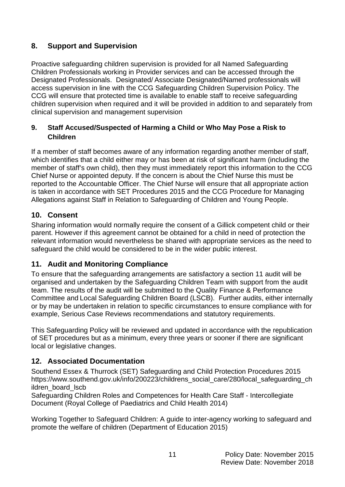## **8. Support and Supervision**

Proactive safeguarding children supervision is provided for all Named Safeguarding Children Professionals working in Provider services and can be accessed through the Designated Professionals. Designated/ Associate Designated/Named professionals will access supervision in line with the CCG Safeguarding Children Supervision Policy. The CCG will ensure that protected time is available to enable staff to receive safeguarding children supervision when required and it will be provided in addition to and separately from clinical supervision and management supervision

#### **9. Staff Accused/Suspected of Harming a Child or Who May Pose a Risk to Children**

If a member of staff becomes aware of any information regarding another member of staff, which identifies that a child either may or has been at risk of significant harm (including the member of staff's own child), then they must immediately report this information to the CCG Chief Nurse or appointed deputy. If the concern is about the Chief Nurse this must be reported to the Accountable Officer. The Chief Nurse will ensure that all appropriate action is taken in accordance with SET Procedures 2015 and the CCG Procedure for Managing Allegations against Staff in Relation to Safeguarding of Children and Young People.

## **10. Consent**

Sharing information would normally require the consent of a Gillick competent child or their parent. However if this agreement cannot be obtained for a child in need of protection the relevant information would nevertheless be shared with appropriate services as the need to safeguard the child would be considered to be in the wider public interest.

## **11. Audit and Monitoring Compliance**

To ensure that the safeguarding arrangements are satisfactory a section 11 audit will be organised and undertaken by the Safeguarding Children Team with support from the audit team. The results of the audit will be submitted to the Quality Finance & Performance Committee and Local Safeguarding Children Board (LSCB). Further audits, either internally or by may be undertaken in relation to specific circumstances to ensure compliance with for example, Serious Case Reviews recommendations and statutory requirements.

This Safeguarding Policy will be reviewed and updated in accordance with the republication of SET procedures but as a minimum, every three years or sooner if there are significant local or legislative changes.

## **12. Associated Documentation**

Southend Essex & Thurrock (SET) Safeguarding and Child Protection Procedures 2015 https://www.southend.gov.uk/info/200223/childrens\_social\_care/280/local\_safeguarding\_ch ildren board Iscb

Safeguarding Children Roles and Competences for Health Care Staff - Intercollegiate Document (Royal College of Paediatrics and Child Health 2014)

Working Together to Safeguard Children: A guide to inter-agency working to safeguard and promote the welfare of children (Department of Education 2015)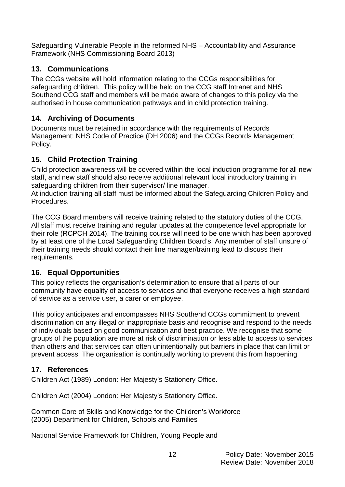Safeguarding Vulnerable People in the reformed NHS – Accountability and Assurance Framework (NHS Commissioning Board 2013)

## **13. Communications**

The CCGs website will hold information relating to the CCGs responsibilities for safeguarding children. This policy will be held on the CCG staff Intranet and NHS Southend CCG staff and members will be made aware of changes to this policy via the authorised in house communication pathways and in child protection training.

## **14. Archiving of Documents**

Documents must be retained in accordance with the requirements of Records Management: NHS Code of Practice (DH 2006) and the CCGs Records Management Policy.

## **15. Child Protection Training**

Child protection awareness will be covered within the local induction programme for all new staff, and new staff should also receive additional relevant local introductory training in safeguarding children from their supervisor/ line manager.

At induction training all staff must be informed about the Safeguarding Children Policy and Procedures.

The CCG Board members will receive training related to the statutory duties of the CCG. All staff must receive training and regular updates at the competence level appropriate for their role (RCPCH 2014). The training course will need to be one which has been approved by at least one of the Local Safeguarding Children Board's. Any member of staff unsure of their training needs should contact their line manager/training lead to discuss their requirements.

## **16. Equal Opportunities**

This policy reflects the organisation's determination to ensure that all parts of our community have equality of access to services and that everyone receives a high standard of service as a service user, a carer or employee.

This policy anticipates and encompasses NHS Southend CCGs commitment to prevent discrimination on any illegal or inappropriate basis and recognise and respond to the needs of individuals based on good communication and best practice. We recognise that some groups of the population are more at risk of discrimination or less able to access to services than others and that services can often unintentionally put barriers in place that can limit or prevent access. The organisation is continually working to prevent this from happening

## **17. References**

Children Act (1989) London: Her Majesty's Stationery Office.

Children Act (2004) London: Her Majesty's Stationery Office.

Common Core of Skills and Knowledge for the Children's Workforce (2005) Department for Children, Schools and Families

National Service Framework for Children, Young People and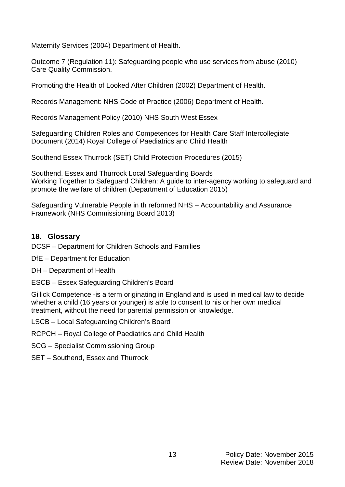Maternity Services (2004) Department of Health.

Outcome 7 (Regulation 11): Safeguarding people who use services from abuse (2010) Care Quality Commission.

Promoting the Health of Looked After Children (2002) Department of Health.

Records Management: NHS Code of Practice (2006) Department of Health.

Records Management Policy (2010) NHS South West Essex

Safeguarding Children Roles and Competences for Health Care Staff Intercollegiate Document (2014) Royal College of Paediatrics and Child Health

Southend Essex Thurrock (SET) Child Protection Procedures (2015)

Southend, Essex and Thurrock Local Safeguarding Boards Working Together to Safeguard Children: A guide to inter-agency working to safeguard and promote the welfare of children (Department of Education 2015)

Safeguarding Vulnerable People in th reformed NHS – Accountability and Assurance Framework (NHS Commissioning Board 2013)

#### **18. Glossary**

DCSF – Department for Children Schools and Families

DfE – Department for Education

DH – Department of Health

ESCB – Essex Safeguarding Children's Board

Gillick Competence -is a term originating in England and is used in medical law to decide whether a child (16 years or younger) is able to consent to his or her own medical treatment, without the need for parental permission or knowledge.

LSCB – Local Safeguarding Children's Board

RCPCH – Royal College of Paediatrics and Child Health

SCG – Specialist Commissioning Group

SET – Southend, Essex and Thurrock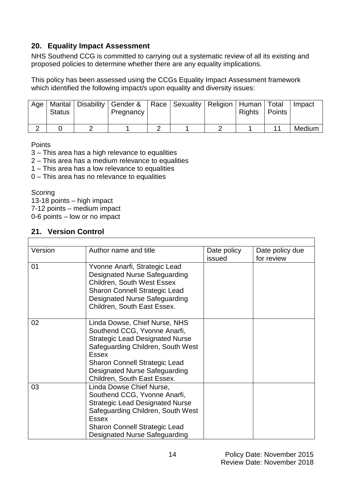## **20. Equality Impact Assessment**

NHS Southend CCG is committed to carrying out a systematic review of all its existing and proposed policies to determine whether there are any equality implications.

This policy has been assessed using the CCGs Equality Impact Assessment framework which identified the following impact/s upon equality and diversity issues:

| Age | <b>Status</b> | Marital   Disability   Gender &   Race   Sexuality   Religion   Human   Total<br>Pregnancy |  | Rights | Points | Impact |
|-----|---------------|--------------------------------------------------------------------------------------------|--|--------|--------|--------|
|     |               |                                                                                            |  |        |        | Medium |

**Points** 

- 3 This area has a high relevance to equalities
- 2 This area has a medium relevance to equalities
- 1 This area has a low relevance to equalities
- 0 This area has no relevance to equalities

**Scoring** 

13-18 points – high impact

7-12 points – medium impact

0-6 points – low or no impact

## **21. Version Control**

| Version | Author name and title                  | Date policy | Date policy due |
|---------|----------------------------------------|-------------|-----------------|
|         |                                        | issued      | for review      |
| 01      | Yvonne Anarfi, Strategic Lead          |             |                 |
|         | Designated Nurse Safeguarding          |             |                 |
|         | <b>Children, South West Essex</b>      |             |                 |
|         | <b>Sharon Connell Strategic Lead</b>   |             |                 |
|         | <b>Designated Nurse Safeguarding</b>   |             |                 |
|         | Children, South East Essex.            |             |                 |
|         |                                        |             |                 |
| 02      | Linda Dowse, Chief Nurse, NHS          |             |                 |
|         | Southend CCG, Yvonne Anarfi,           |             |                 |
|         | <b>Strategic Lead Designated Nurse</b> |             |                 |
|         | Safeguarding Children, South West      |             |                 |
|         | <b>Essex</b>                           |             |                 |
|         | <b>Sharon Connell Strategic Lead</b>   |             |                 |
|         | Designated Nurse Safeguarding          |             |                 |
|         | Children, South East Essex.            |             |                 |
| 03      | Linda Dowse Chief Nurse,               |             |                 |
|         | Southend CCG, Yvonne Anarfi,           |             |                 |
|         | <b>Strategic Lead Designated Nurse</b> |             |                 |
|         | Safeguarding Children, South West      |             |                 |
|         | <b>Essex</b>                           |             |                 |
|         | <b>Sharon Connell Strategic Lead</b>   |             |                 |
|         | Designated Nurse Safeguarding          |             |                 |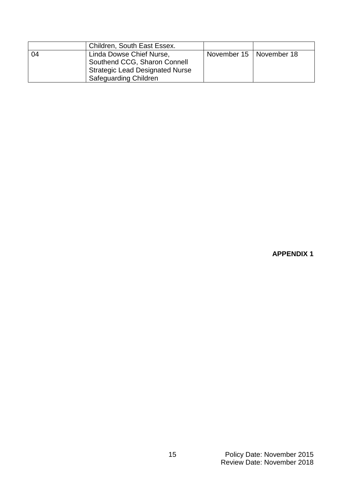|    | Children, South East Essex.                                                                                                        |                           |  |
|----|------------------------------------------------------------------------------------------------------------------------------------|---------------------------|--|
| 04 | Linda Dowse Chief Nurse,<br>Southend CCG, Sharon Connell<br><b>Strategic Lead Designated Nurse</b><br><b>Safeguarding Children</b> | November 15   November 18 |  |

## **APPENDIX 1**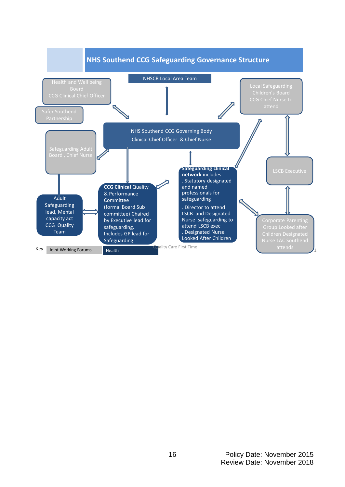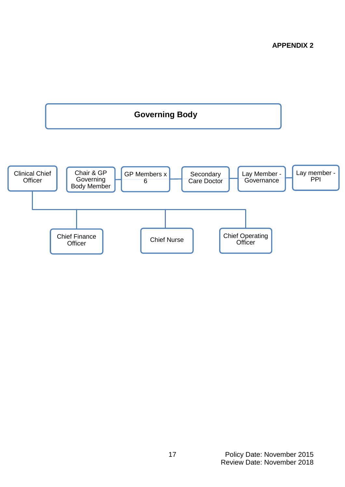